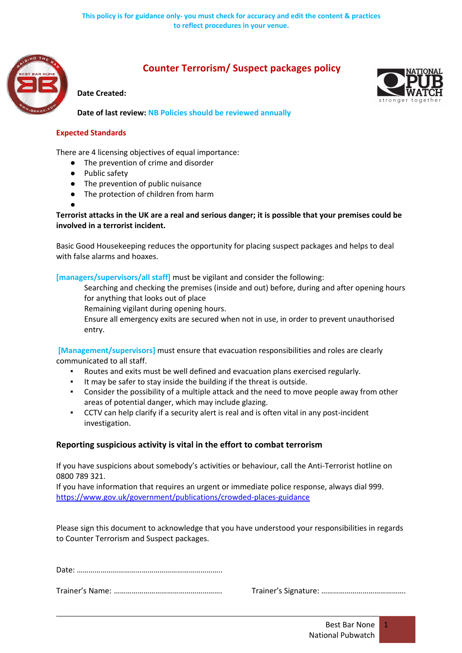

# **Counter Terrorism/ Suspect packages policy**

#### **Date Created:**



**Date of last review: NB Policies should be reviewed annually**

#### **Expected Standards**

There are 4 licensing objectives of equal importance:

- The prevention of crime and disorder
- Public safety

●

- The prevention of public nuisance
- The protection of children from harm
- **Terrorist attacks in the UK are a real and serious danger; it is possible that your premises could be involved in a terrorist incident.**

Basic Good Housekeeping reduces the opportunity for placing suspect packages and helps to deal with false alarms and hoaxes.

### **[managers/supervisors/all staff]** must be vigilant and consider the following:

 Searching and checking the premises (inside and out) before, during and after opening hours for anything that looks out of place

Remaining vigilant during opening hours.

 Ensure all emergency exits are secured when not in use, in order to prevent unauthorised entry.

**[Management/supervisors]** must ensure that evacuation responsibilities and roles are clearly communicated to all staff.

- Routes and exits must be well defined and evacuation plans exercised regularly.
- It may be safer to stay inside the building if the threat is outside.
- Consider the possibility of a multiple attack and the need to move people away from other areas of potential danger, which may include glazing.
- CCTV can help clarify if a security alert is real and is often vital in any post-incident investigation.

## **Reporting suspicious activity is vital in the effort to combat terrorism**

If you have suspicions about somebody's activities or behaviour, call the Anti-Terrorist hotline on 0800 789 321.

If you have information that requires an urgent or immediate police response, always dial 999. https://www.gov.uk/government/publications/crowded-places-guidance

Please sign this document to acknowledge that you have understood your responsibilities in regards to Counter Terrorism and Suspect packages.

Date: ………………………………………………………………..

Trainer's Name: ………………………………………………. Trainer's Signature: …………………………………….

1